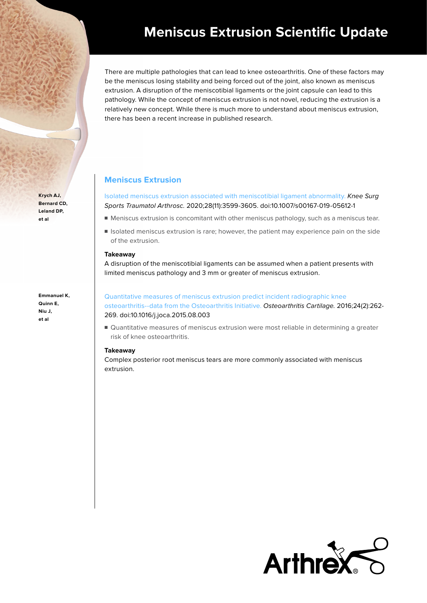## **Meniscus Extrusion Scientific Update**

There are multiple pathologies that can lead to knee osteoarthritis. One of these factors may be the meniscus losing stability and being forced out of the joint, also known as meniscus extrusion. A disruption of the meniscotibial ligaments or the joint capsule can lead to this pathology. While the concept of meniscus extrusion is not novel, reducing the extrusion is a relatively new concept. While there is much more to understand about meniscus extrusion, there has been a recent increase in published research.

## **Meniscus Extrusion**

[Isolated meniscus extrusion associated with meniscotibial ligament abnormality.](https://pubmed.ncbi.nlm.nih.gov/31332493/) Knee Surg Sports Traumatol Arthrosc. 2020;28(11):3599-3605. doi:10.1007/s00167-019-05612-1

- Meniscus extrusion is concomitant with other meniscus pathology, such as a meniscus tear.
- Isolated meniscus extrusion is rare; however, the patient may experience pain on the side of the extrusion.

#### **Takeaway**

A disruption of the meniscotibial ligaments can be assumed when a patient presents with limited meniscus pathology and 3 mm or greater of meniscus extrusion.

# [Quantitative measures of meniscus extrusion predict incident radiographic knee](https://pubmed.ncbi.nlm.nih.gov/26318658/)

[osteoarthritis--data from the Osteoarthritis Initiative.](https://pubmed.ncbi.nlm.nih.gov/26318658/) Osteoarthritis Cartilage. 2016;24(2):262- 269. doi:10.1016/j.joca.2015.08.003

■ Quantitative measures of meniscus extrusion were most reliable in determining a greater risk of knee osteoarthritis.

#### **Takeaway**

Complex posterior root meniscus tears are more commonly associated with meniscus extrusion.



**Krych AJ, Bernard CD, Leland DP, et al**

**Emmanuel K, Quinn E, Niu J, et al**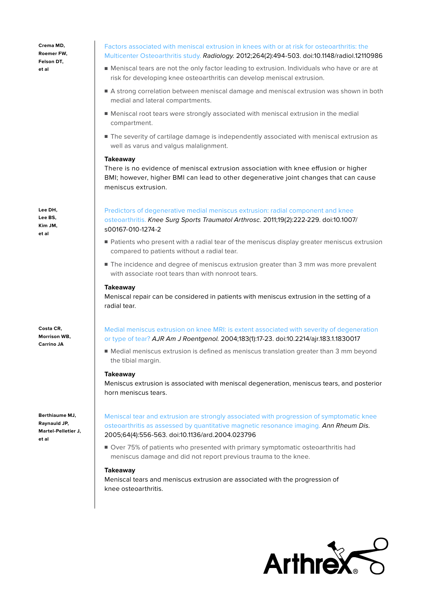**Crema MD, Roemer FW, Felson DT, et al**

**Lee DH, Lee BS, Kim JM, et al**

**Costa CR, Morrison WB, Carrino JA**

**Berthiaume MJ, Raynauld JP, Martel-Pelletier J, et al**

#### [Factors associated with meniscal extrusion in knees with or at risk for osteoarthritis: the](https://pubmed.ncbi.nlm.nih.gov/22653191/)  [Multicenter Osteoarthritis study.](https://pubmed.ncbi.nlm.nih.gov/22653191/) Radiology. 2012;264(2):494-503. doi:10.1148/radiol.12110986

- Meniscal tears are not the only factor leading to extrusion. Individuals who have or are at risk for developing knee osteoarthritis can develop meniscal extrusion.
- A strong correlation between meniscal damage and meniscal extrusion was shown in both medial and lateral compartments.
- Meniscal root tears were strongly associated with meniscal extrusion in the medial compartment.
- The severity of cartilage damage is independently associated with meniscal extrusion as well as varus and valgus malalignment.

#### **Takeaway**

There is no evidence of meniscal extrusion association with knee effusion or higher BMI; however, higher BMI can lead to other degenerative joint changes that can cause meniscus extrusion.

#### [Predictors of degenerative medial meniscus extrusion: radial component and knee](https://pubmed.ncbi.nlm.nih.gov/20890696/)

[osteoarthritis.](https://pubmed.ncbi.nlm.nih.gov/20890696/) Knee Surg Sports Traumatol Arthrosc. 2011;19(2):222-229. doi:10.1007/ s00167-010-1274-2

- Patients who present with a radial tear of the meniscus display greater meniscus extrusion compared to patients without a radial tear.
- The incidence and degree of meniscus extrusion greater than 3 mm was more prevalent with associate root tears than with nonroot tears.

#### **Takeaway**

Meniscal repair can be considered in patients with meniscus extrusion in the setting of a radial tear.

[Medial meniscus extrusion on knee MRI: is extent associated with severity of degeneration](https://pubmed.ncbi.nlm.nih.gov/15208101/)  [or type of tear?](https://pubmed.ncbi.nlm.nih.gov/15208101/) AJR Am J Roentgenol. 2004;183(1):17-23. doi:10.2214/ajr.183.1.1830017

■ Medial meniscus extrusion is defined as meniscus translation greater than 3 mm beyond the tibial margin.

#### **Takeaway**

Meniscus extrusion is associated with meniscal degeneration, meniscus tears, and posterior horn meniscus tears.

[Meniscal tear and extrusion are strongly associated with progression of symptomatic knee](https://pubmed.ncbi.nlm.nih.gov/15374855/)  [osteoarthritis as assessed by quantitative magnetic resonance imaging.](https://pubmed.ncbi.nlm.nih.gov/15374855/) Ann Rheum Dis. 2005;64(4):556-563. doi:10.1136/ard.2004.023796

■ Over 75% of patients who presented with primary symptomatic osteoarthritis had meniscus damage and did not report previous trauma to the knee.

#### **Takeaway**

Meniscal tears and meniscus extrusion are associated with the progression of knee osteoarthritis.

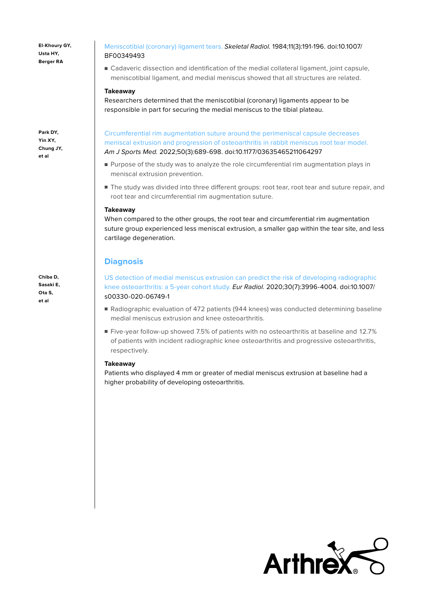**El-Khoury GY, Usta HY, Berger RA**

**Park DY, Yin XY, Chung JY, et al**

**Chiba D, Sasaki E, Ota S, et al**

[Meniscotibial \(coronary\) ligament tears.](https://pubmed.ncbi.nlm.nih.gov/6547003/) Skeletal Radiol. 1984;11(3):191-196. doi:10.1007/ BF00349493

■ Cadaveric dissection and identification of the medial collateral ligament, joint capsule, meniscotibial ligament, and medial meniscus showed that all structures are related.

#### **Takeaway**

Researchers determined that the meniscotibial (coronary) ligaments appear to be responsible in part for securing the medial meniscus to the tibial plateau.

[Circumferential rim augmentation suture around the perimeniscal capsule decreases](https://pubmed.ncbi.nlm.nih.gov/35289232/)  [meniscal extrusion and progression of osteoarthritis in rabbit meniscus root tear model.](https://pubmed.ncbi.nlm.nih.gov/35289232/)  Am J Sports Med. 2022;50(3):689-698. doi:10.1177/03635465211064297

- Purpose of the study was to analyze the role circumferential rim augmentation plays in meniscal extrusion prevention.
- The study was divided into three different groups: root tear, root tear and suture repair, and root tear and circumferential rim augmentation suture.

#### **Takeaway**

When compared to the other groups, the root tear and circumferential rim augmentation suture group experienced less meniscal extrusion, a smaller gap within the tear site, and less cartilage degeneration.

### **Diagnosis**

[US detection of medial meniscus extrusion can predict the risk of developing radiographic](https://pubmed.ncbi.nlm.nih.gov/32140818/)  [knee osteoarthritis: a 5-year cohort study.](https://pubmed.ncbi.nlm.nih.gov/32140818/) Eur Radiol. 2020;30(7):3996-4004. doi:10.1007/ s00330-020-06749-1

- Radiographic evaluation of 472 patients (944 knees) was conducted determining baseline medial meniscus extrusion and knee osteoarthritis.
- Five-year follow-up showed 7.5% of patients with no osteoarthritis at baseline and 12.7% of patients with incident radiographic knee osteoarthritis and progressive osteoarthritis, respectively.

#### **Takeaway**

Patients who displayed 4 mm or greater of medial meniscus extrusion at baseline had a higher probability of developing osteoarthritis.